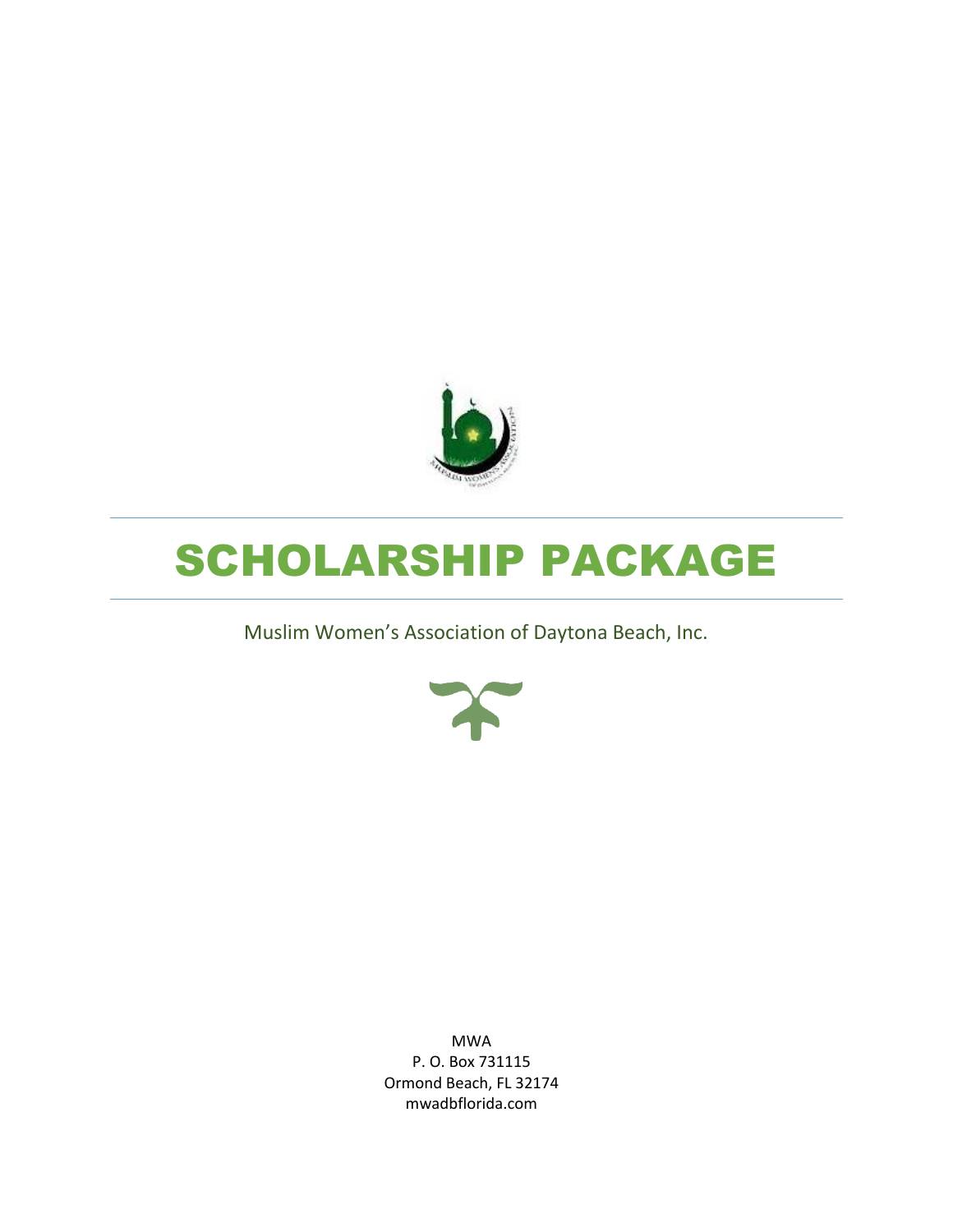

# SCHOLARSHIP PACKAGE

Muslim Women's Association of Daytona Beach, Inc.



MWA P. O. Box 731115 Ormond Beach, FL 32174 mwadbflorida.com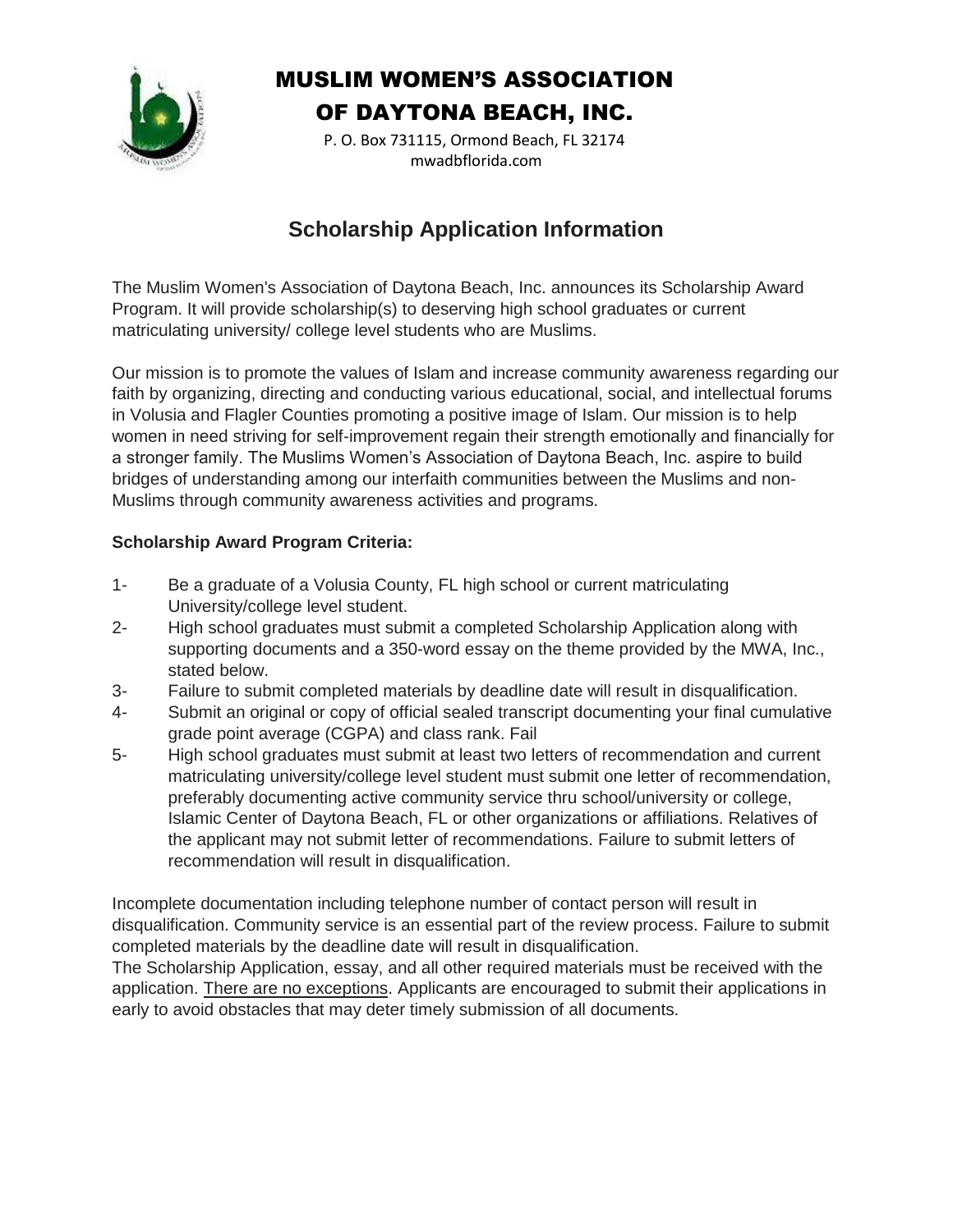

P. O. Box 731115, Ormond Beach, FL 32174 mwadbflorida.com

#### **Scholarship Application Information**

The Muslim Women's Association of Daytona Beach, Inc. announces its Scholarship Award Program. It will provide scholarship(s) to deserving high school graduates or current matriculating university/ college level students who are Muslims.

Our mission is to promote the values of Islam and increase community awareness regarding our faith by organizing, directing and conducting various educational, social, and intellectual forums in Volusia and Flagler Counties promoting a positive image of Islam. Our mission is to help women in need striving for self-improvement regain their strength emotionally and financially for a stronger family. The Muslims Women's Association of Daytona Beach, Inc. aspire to build bridges of understanding among our interfaith communities between the Muslims and non-Muslims through community awareness activities and programs.

#### **Scholarship Award Program Criteria:**

- 1- Be a graduate of a Volusia County, FL high school or current matriculating University/college level student.
- 2- High school graduates must submit a completed Scholarship Application along with supporting documents and a 350-word essay on the theme provided by the MWA, Inc., stated below.
- 3- Failure to submit completed materials by deadline date will result in disqualification.
- 4- Submit an original or copy of official sealed transcript documenting your final cumulative grade point average (CGPA) and class rank. Fail
- 5- High school graduates must submit at least two letters of recommendation and current matriculating university/college level student must submit one letter of recommendation, preferably documenting active community service thru school/university or college, Islamic Center of Daytona Beach, FL or other organizations or affiliations. Relatives of the applicant may not submit letter of recommendations. Failure to submit letters of recommendation will result in disqualification.

Incomplete documentation including telephone number of contact person will result in disqualification. Community service is an essential part of the review process. Failure to submit completed materials by the deadline date will result in disqualification.

The Scholarship Application, essay, and all other required materials must be received with the application. There are no exceptions. Applicants are encouraged to submit their applications in early to avoid obstacles that may deter timely submission of all documents.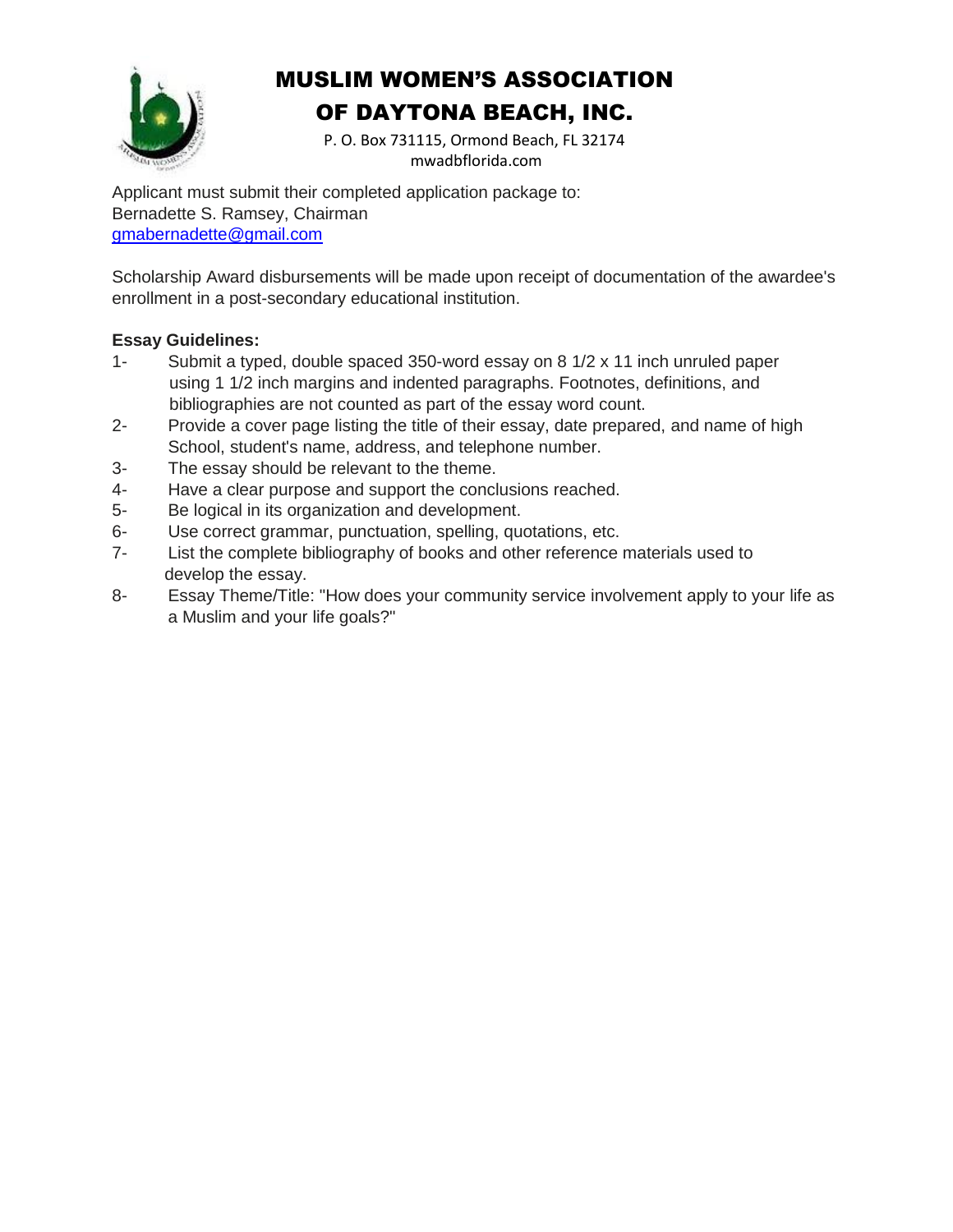

P. O. Box 731115, Ormond Beach, FL 32174 mwadbflorida.com

Applicant must submit their completed application package to: Bernadette S. Ramsey, Chairman [gmabernadette@gmail.com](mailto:gmabernadette@gmail.com)

Scholarship Award disbursements will be made upon receipt of documentation of the awardee's enrollment in a post-secondary educational institution.

#### **Essay Guidelines:**

- 1- Submit a typed, double spaced 350-word essay on 8 1/2 x 11 inch unruled paper using 1 1/2 inch margins and indented paragraphs. Footnotes, definitions, and bibliographies are not counted as part of the essay word count.
- 2- Provide a cover page listing the title of their essay, date prepared, and name of high School, student's name, address, and telephone number.
- 3- The essay should be relevant to the theme.
- 4- Have a clear purpose and support the conclusions reached.
- 5- Be logical in its organization and development.
- 6- Use correct grammar, punctuation, spelling, quotations, etc.
- 7- List the complete bibliography of books and other reference materials used to develop the essay.
- 8- Essay Theme/Title: "How does your community service involvement apply to your life as a Muslim and your life goals?"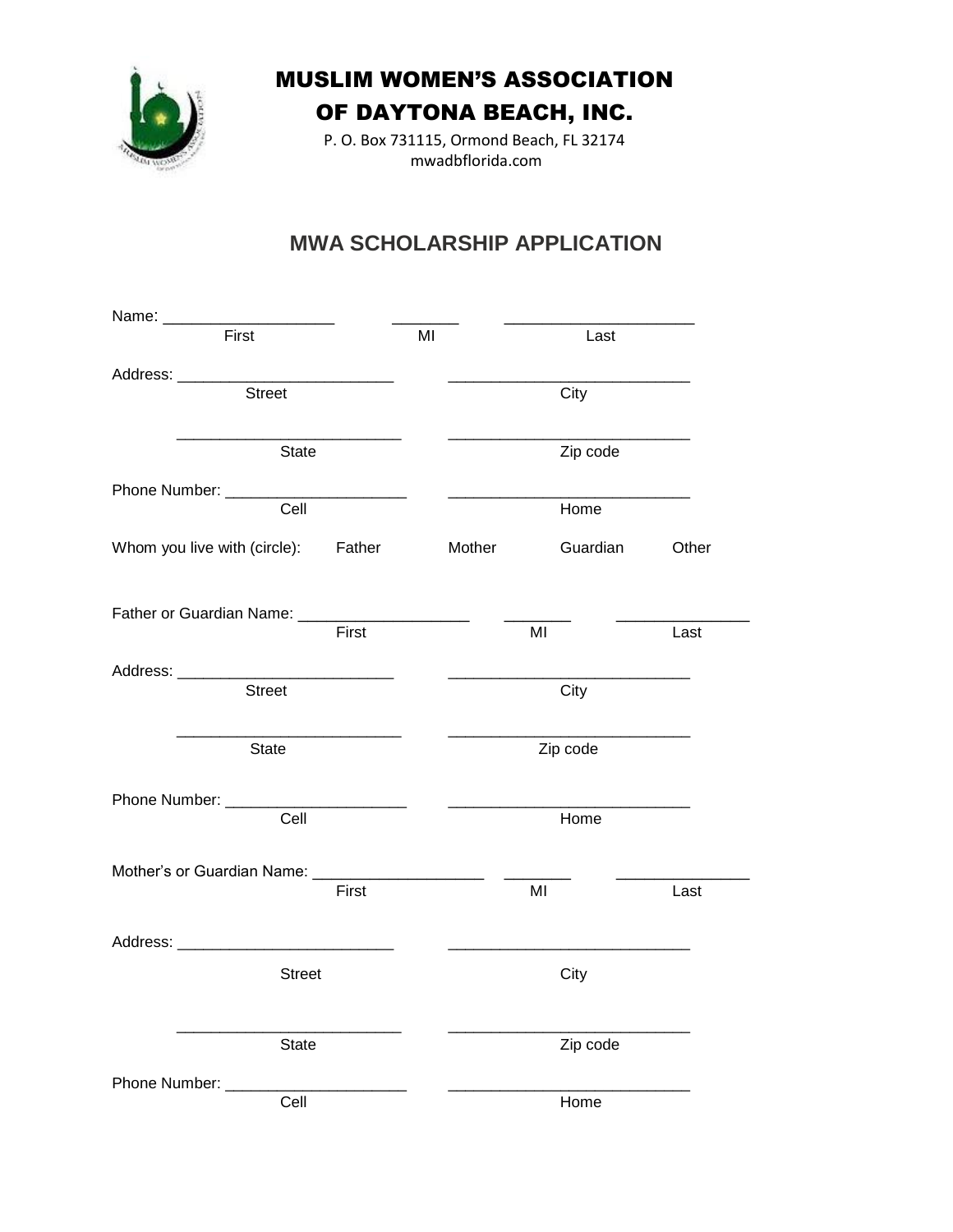

P. O. Box 731115, Ormond Beach, FL 32174 mwadbflorida.com

### **MWA SCHOLARSHIP APPLICATION**

| Name: ______________                              |       |    |          |                |       |
|---------------------------------------------------|-------|----|----------|----------------|-------|
| First                                             |       | MI |          | Last           |       |
|                                                   |       |    |          |                |       |
| $\overline{\text{Street}}$                        |       |    |          | City           |       |
| State                                             |       |    |          |                |       |
|                                                   |       |    |          |                |       |
| Cell                                              |       |    |          | Home           |       |
| Whom you live with (circle): Father               |       |    | Mother   | Guardian       | Other |
| Father or Guardian Name: _______________________  |       |    |          |                |       |
|                                                   | First |    |          | MI             | Last  |
|                                                   |       |    |          |                |       |
| <b>Street</b>                                     |       |    |          | City           |       |
| State                                             |       |    |          | Zip code       |       |
| Phone Number: ______                              |       |    |          |                |       |
| Cell                                              |       |    |          | Home           |       |
| Mother's or Guardian Name: ______________________ |       |    |          |                |       |
|                                                   | First |    |          | M <sub>l</sub> | Last  |
| Address: _________________________________        |       |    |          |                |       |
| <b>Street</b>                                     |       |    |          | City           |       |
| <b>State</b>                                      |       |    | Zip code |                |       |
| Phone Number: _____                               |       |    |          | Home           |       |
| Cell                                              |       |    |          |                |       |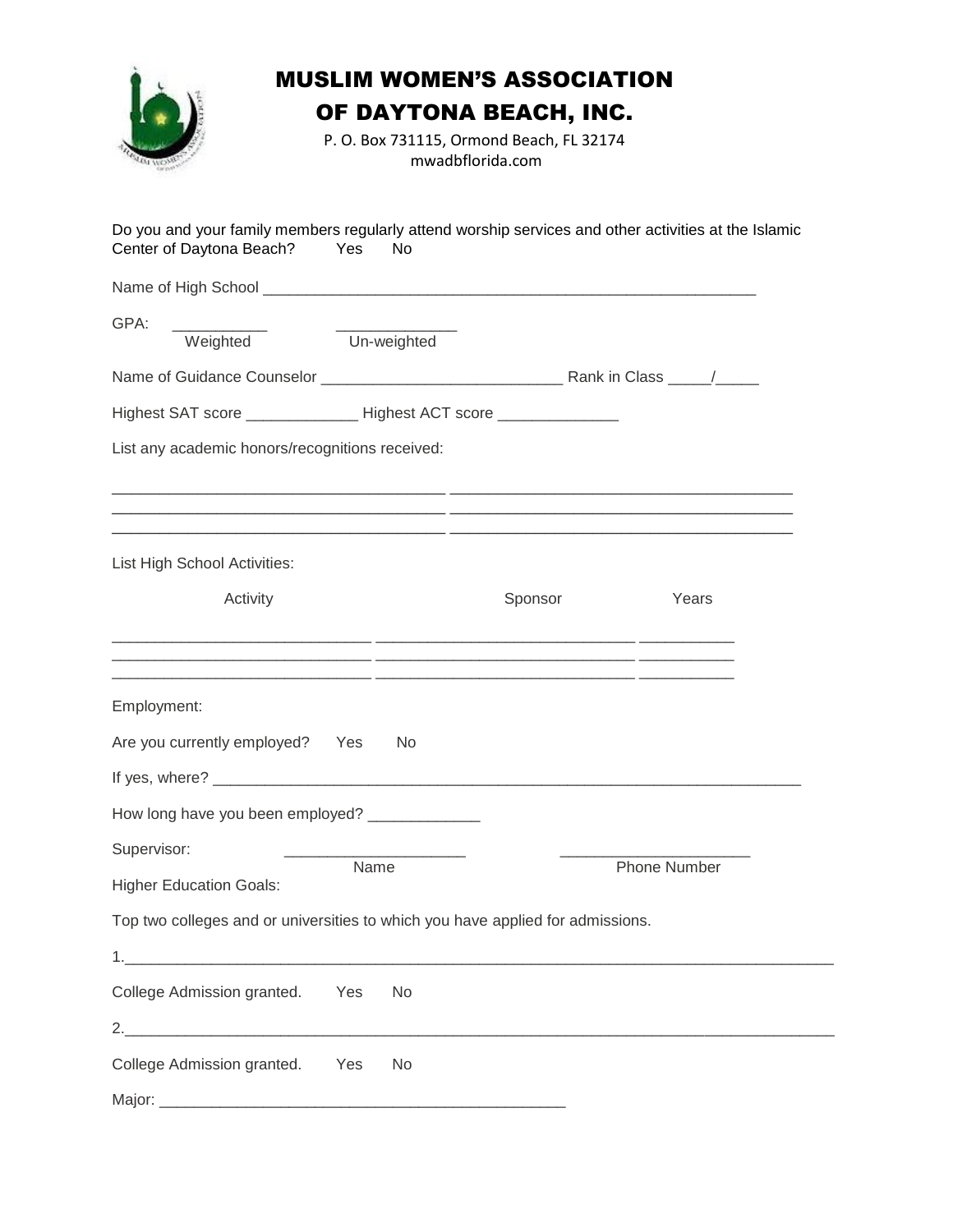

## MUSLIM WOMEN'S ASSOCIATION

OF DAYTONA BEACH, INC.

P. O. Box 731115, Ormond Beach, FL 32174 mwadbflorida.com

| Do you and your family members regularly attend worship services and other activities at the Islamic<br>Center of Daytona Beach? | Yes<br>No |  |         |                     |  |  |  |
|----------------------------------------------------------------------------------------------------------------------------------|-----------|--|---------|---------------------|--|--|--|
|                                                                                                                                  |           |  |         |                     |  |  |  |
| GPA:                                                                                                                             |           |  |         |                     |  |  |  |
| Weighted Un-weighted                                                                                                             |           |  |         |                     |  |  |  |
|                                                                                                                                  |           |  |         |                     |  |  |  |
| Highest SAT score ________________ Highest ACT score _______________                                                             |           |  |         |                     |  |  |  |
| List any academic honors/recognitions received:                                                                                  |           |  |         |                     |  |  |  |
| <u> 1980 - Jan Barat, margaret amerikan basa dan berasal dalam berasal dalam basa dalam berasal dalam berasal da</u>             |           |  |         |                     |  |  |  |
| List High School Activities:                                                                                                     |           |  |         |                     |  |  |  |
| Activity                                                                                                                         |           |  | Sponsor | Years               |  |  |  |
| Employment:                                                                                                                      |           |  |         |                     |  |  |  |
| Are you currently employed? Yes                                                                                                  | No        |  |         |                     |  |  |  |
| How long have you been employed? _____________                                                                                   |           |  |         |                     |  |  |  |
| Supervisor:                                                                                                                      |           |  |         |                     |  |  |  |
| <b>Higher Education Goals:</b>                                                                                                   | Name      |  |         | <b>Phone Number</b> |  |  |  |
| Top two colleges and or universities to which you have applied for admissions.                                                   |           |  |         |                     |  |  |  |
|                                                                                                                                  |           |  |         |                     |  |  |  |
| College Admission granted.                                                                                                       | Yes<br>No |  |         |                     |  |  |  |
|                                                                                                                                  |           |  |         |                     |  |  |  |
| College Admission granted. Yes                                                                                                   | No        |  |         |                     |  |  |  |
|                                                                                                                                  |           |  |         |                     |  |  |  |